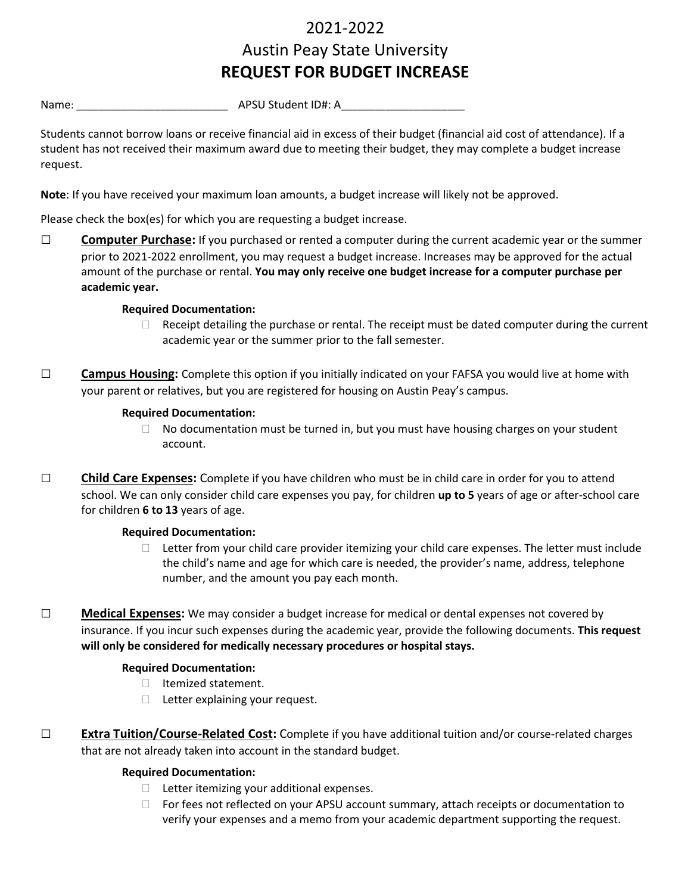# 2021-2022 Austin Peay State University **REQUEST FOR BUDGET INCREASE**

Name: \_\_\_\_\_\_\_\_\_\_\_\_\_\_\_\_\_\_\_\_\_\_\_\_\_\_\_ APSU Student ID#: A\_\_\_\_\_\_\_\_\_\_\_\_\_\_\_\_\_\_\_\_\_\_

Students cannot borrow loans or receive financial aid in excess of their budget (financial aid cost of attendance). If a student has not received their maximum award due to meeting their budget, they may complete a budget increase request.

**Note**: If you have received your maximum loan amounts, a budget increase will likely not be approved.

Please check the box(es) for which you are requesting a budget increase.

□ **Computer Purchase:** If you purchased or rented a computer during the current academic year or the summer prior to 2021-2022 enrollment, you may request a budget increase. Increases may be approved for the actual amount of the purchase or rental. **You may only receive one budget increase for a computer purchase per academic year.**

# **Required Documentation:**

- $\Box$  Receipt detailing the purchase or rental. The receipt must be dated computer during the current academic year or the summer prior to the fall semester.
- □ **Campus Housing:** Complete this option if you initially indicated on your FAFSA you would live at home with your parent or relatives, but you are registered for housing on Austin Peay's campus.

# **Required Documentation:**

- $\Box$  No documentation must be turned in, but you must have housing charges on your student account.
- □ **Child Care Expenses:** Complete if you have children who must be in child care in order for you to attend school. We can only consider child care expenses you pay, for children **up to 5** years of age or after-school care for children **6 to 13** years of age.

# **Required Documentation:**

- $\Box$  Letter from your child care provider itemizing your child care expenses. The letter must include the child's name and age for which care is needed, the provider's name, address, telephone number, and the amount you pay each month.
- □ **Medical Expenses:** We may consider a budget increase for medical or dental expenses not covered by insurance. If you incur such expenses during the academic year, provide the following documents. **This request will only be considered for medically necessary procedures or hospital stays.**

# **Required Documentation:**

- $\Box$  Itemized statement.
- $\Box$  Letter explaining your request.
- □ **Extra Tuition/Course-Related Cost:** Complete if you have additional tuition and/or course-related charges that are not already taken into account in the standard budget.

# **Required Documentation:**

- $\Box$  Letter itemizing your additional expenses.
- $\Box$  For fees not reflected on your APSU account summary, attach receipts or documentation to verify your expenses and a memo from your academic department supporting the request.